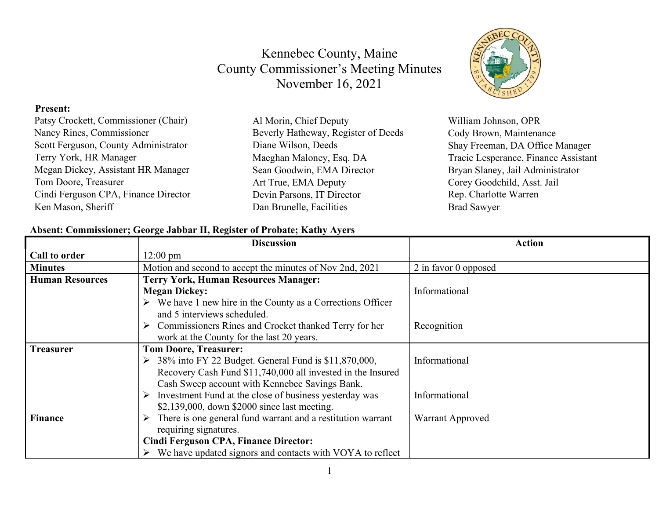#### **Present:**

| Patsy Crockett, Commissioner (Chair) | Al Morin, Chief Deputy              | William Johnson, OPR                 |
|--------------------------------------|-------------------------------------|--------------------------------------|
| Nancy Rines, Commissioner            | Beverly Hatheway, Register of Deeds | Cody Brown, Maintenance              |
| Scott Ferguson, County Administrator | Diane Wilson, Deeds                 | Shay Freeman, DA Office Manager      |
| Terry York, HR Manager               | Maeghan Maloney, Esq. DA            | Tracie Lesperance, Finance Assistant |
| Megan Dickey, Assistant HR Manager   | Sean Goodwin, EMA Director          | Bryan Slaney, Jail Administrator     |
| Tom Doore, Treasurer                 | Art True, EMA Deputy                | Corey Goodchild, Asst. Jail          |
| Cindi Ferguson CPA, Finance Director | Devin Parsons, IT Director          | Rep. Charlotte Warren                |
| Ken Mason, Sheriff                   | Dan Brunelle, Facilities            | <b>Brad Sawyer</b>                   |
|                                      |                                     |                                      |

#### **Absent: Commissioner; George Jabbar II, Register of Probate; Kathy Ayers**

|                        | <b>Discussion</b>                                                          | <b>Action</b>        |
|------------------------|----------------------------------------------------------------------------|----------------------|
| Call to order          | $12:00 \text{ pm}$                                                         |                      |
| <b>Minutes</b>         | Motion and second to accept the minutes of Nov 2nd, 2021                   | 2 in favor 0 opposed |
| <b>Human Resources</b> | <b>Terry York, Human Resources Manager:</b>                                |                      |
|                        | <b>Megan Dickey:</b>                                                       | Informational        |
|                        | $\triangleright$ We have 1 new hire in the County as a Corrections Officer |                      |
|                        | and 5 interviews scheduled.                                                |                      |
|                        | $\triangleright$ Commissioners Rines and Crocket thanked Terry for her     | Recognition          |
|                        | work at the County for the last 20 years.                                  |                      |
| <b>Treasurer</b>       | <b>Tom Doore, Treasurer:</b>                                               |                      |
|                        | $\geq$ 38% into FY 22 Budget. General Fund is \$11,870,000,                | Informational        |
|                        | Recovery Cash Fund \$11,740,000 all invested in the Insured                |                      |
|                        | Cash Sweep account with Kennebec Savings Bank.                             |                      |
|                        | Investment Fund at the close of business yesterday was                     | Informational        |
|                        | \$2,139,000, down \$2000 since last meeting.                               |                      |
| <b>Finance</b>         | There is one general fund warrant and a restitution warrant                | Warrant Approved     |
|                        | requiring signatures.                                                      |                      |
|                        | <b>Cindi Ferguson CPA, Finance Director:</b>                               |                      |
|                        | We have updated signors and contacts with VOYA to reflect                  |                      |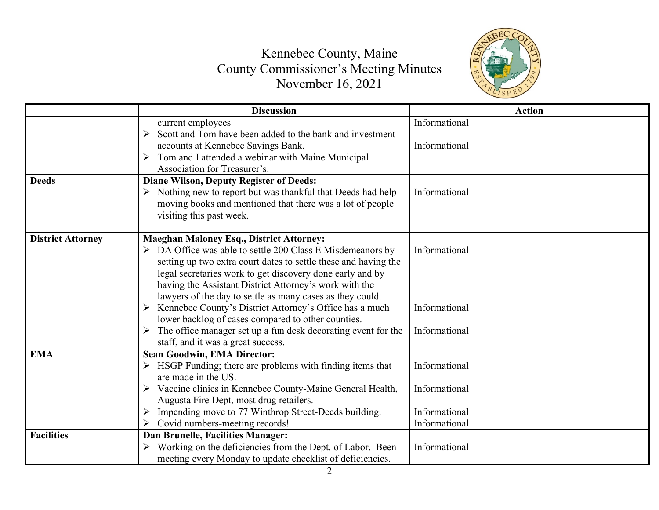

|                          | <b>Discussion</b>                                               | <b>Action</b> |
|--------------------------|-----------------------------------------------------------------|---------------|
|                          | current employees                                               | Informational |
|                          | Scott and Tom have been added to the bank and investment        |               |
|                          | accounts at Kennebec Savings Bank.                              | Informational |
|                          | Tom and I attended a webinar with Maine Municipal               |               |
|                          | Association for Treasurer's.                                    |               |
| <b>Deeds</b>             | <b>Diane Wilson, Deputy Register of Deeds:</b>                  |               |
|                          | Nothing new to report but was thankful that Deeds had help      | Informational |
|                          | moving books and mentioned that there was a lot of people       |               |
|                          | visiting this past week.                                        |               |
|                          |                                                                 |               |
| <b>District Attorney</b> | <b>Maeghan Maloney Esq., District Attorney:</b>                 |               |
|                          | DA Office was able to settle 200 Class E Misdemeanors by        | Informational |
|                          | setting up two extra court dates to settle these and having the |               |
|                          | legal secretaries work to get discovery done early and by       |               |
|                          | having the Assistant District Attorney's work with the          |               |
|                          | lawyers of the day to settle as many cases as they could.       |               |
|                          | Kennebec County's District Attorney's Office has a much         | Informational |
|                          | lower backlog of cases compared to other counties.              |               |
|                          | The office manager set up a fun desk decorating event for the   | Informational |
|                          | staff, and it was a great success.                              |               |
| <b>EMA</b>               | <b>Sean Goodwin, EMA Director:</b>                              |               |
|                          | HSGP Funding; there are problems with finding items that        | Informational |
|                          | are made in the US.                                             |               |
|                          | Vaccine clinics in Kennebec County-Maine General Health,<br>➤   | Informational |
|                          | Augusta Fire Dept, most drug retailers.                         |               |
|                          | Impending move to 77 Winthrop Street-Deeds building.            | Informational |
|                          | Covid numbers-meeting records!                                  | Informational |
| <b>Facilities</b>        | <b>Dan Brunelle, Facilities Manager:</b>                        |               |
|                          | Working on the deficiencies from the Dept. of Labor. Been       | Informational |
|                          | meeting every Monday to update checklist of deficiencies.       |               |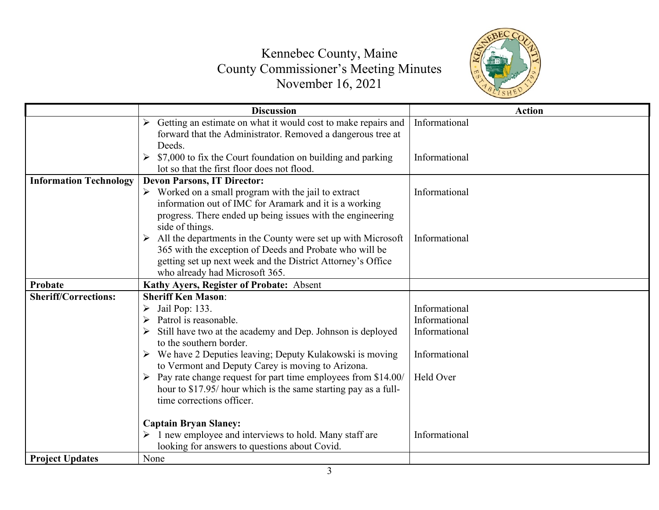

|                               | <b>Discussion</b>                                                                                                                                                                                                                           | <b>Action</b> |
|-------------------------------|---------------------------------------------------------------------------------------------------------------------------------------------------------------------------------------------------------------------------------------------|---------------|
|                               | Getting an estimate on what it would cost to make repairs and<br>forward that the Administrator. Removed a dangerous tree at<br>Deeds.                                                                                                      | Informational |
|                               | \$7,000 to fix the Court foundation on building and parking<br>lot so that the first floor does not flood.                                                                                                                                  | Informational |
| <b>Information Technology</b> | <b>Devon Parsons, IT Director:</b>                                                                                                                                                                                                          |               |
|                               | $\triangleright$ Worked on a small program with the jail to extract<br>information out of IMC for Aramark and it is a working<br>progress. There ended up being issues with the engineering                                                 | Informational |
|                               | side of things.<br>All the departments in the County were set up with Microsoft<br>365 with the exception of Deeds and Probate who will be<br>getting set up next week and the District Attorney's Office<br>who already had Microsoft 365. | Informational |
| Probate                       | Kathy Ayers, Register of Probate: Absent                                                                                                                                                                                                    |               |
| <b>Sheriff/Corrections:</b>   | <b>Sheriff Ken Mason:</b>                                                                                                                                                                                                                   |               |
|                               | Jail Pop: 133.<br>➤                                                                                                                                                                                                                         | Informational |
|                               | Patrol is reasonable.                                                                                                                                                                                                                       | Informational |
|                               | Still have two at the academy and Dep. Johnson is deployed<br>to the southern border.                                                                                                                                                       | Informational |
|                               | We have 2 Deputies leaving; Deputy Kulakowski is moving<br>to Vermont and Deputy Carey is moving to Arizona.                                                                                                                                | Informational |
|                               | Pay rate change request for part time employees from \$14.00/<br>hour to \$17.95/ hour which is the same starting pay as a full-<br>time corrections officer.                                                                               | Held Over     |
|                               | <b>Captain Bryan Slaney:</b>                                                                                                                                                                                                                |               |
|                               | 1 new employee and interviews to hold. Many staff are<br>looking for answers to questions about Covid.                                                                                                                                      | Informational |
| <b>Project Updates</b>        | None                                                                                                                                                                                                                                        |               |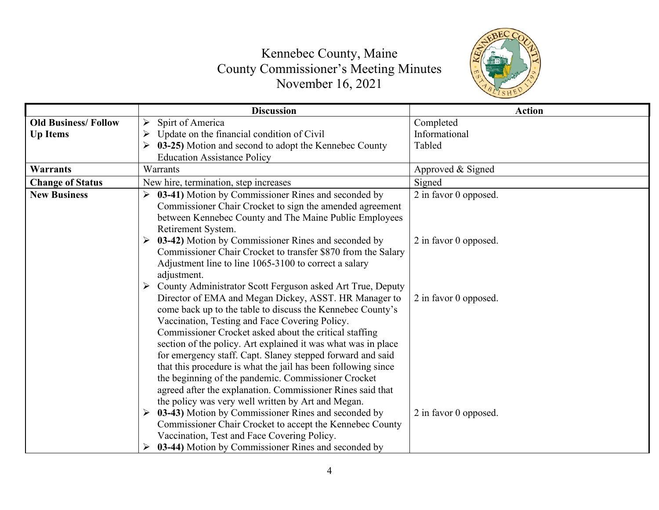

|                            | <b>Discussion</b>                                               | <b>Action</b>         |
|----------------------------|-----------------------------------------------------------------|-----------------------|
| <b>Old Business/Follow</b> | Spirt of America<br>➤                                           | Completed             |
| <b>Up Items</b>            | Update on the financial condition of Civil                      | Informational         |
|                            | 03-25) Motion and second to adopt the Kennebec County<br>➤      | Tabled                |
|                            | <b>Education Assistance Policy</b>                              |                       |
| <b>Warrants</b>            | Warrants                                                        | Approved & Signed     |
| <b>Change of Status</b>    | New hire, termination, step increases                           | Signed                |
| <b>New Business</b>        | 03-41) Motion by Commissioner Rines and seconded by<br>➤        | 2 in favor 0 opposed. |
|                            | Commissioner Chair Crocket to sign the amended agreement        |                       |
|                            | between Kennebec County and The Maine Public Employees          |                       |
|                            | Retirement System.                                              |                       |
|                            | 03-42) Motion by Commissioner Rines and seconded by<br>➤        | 2 in favor 0 opposed. |
|                            | Commissioner Chair Crocket to transfer \$870 from the Salary    |                       |
|                            | Adjustment line to line 1065-3100 to correct a salary           |                       |
|                            | adjustment.                                                     |                       |
|                            | County Administrator Scott Ferguson asked Art True, Deputy<br>➤ |                       |
|                            | Director of EMA and Megan Dickey, ASST. HR Manager to           | 2 in favor 0 opposed. |
|                            | come back up to the table to discuss the Kennebec County's      |                       |
|                            | Vaccination, Testing and Face Covering Policy.                  |                       |
|                            | Commissioner Crocket asked about the critical staffing          |                       |
|                            | section of the policy. Art explained it was what was in place   |                       |
|                            | for emergency staff. Capt. Slaney stepped forward and said      |                       |
|                            | that this procedure is what the jail has been following since   |                       |
|                            | the beginning of the pandemic. Commissioner Crocket             |                       |
|                            | agreed after the explanation. Commissioner Rines said that      |                       |
|                            | the policy was very well written by Art and Megan.              |                       |
|                            | 03-43) Motion by Commissioner Rines and seconded by<br>➤        | 2 in favor 0 opposed. |
|                            | Commissioner Chair Crocket to accept the Kennebec County        |                       |
|                            | Vaccination, Test and Face Covering Policy.                     |                       |
|                            | 03-44) Motion by Commissioner Rines and seconded by             |                       |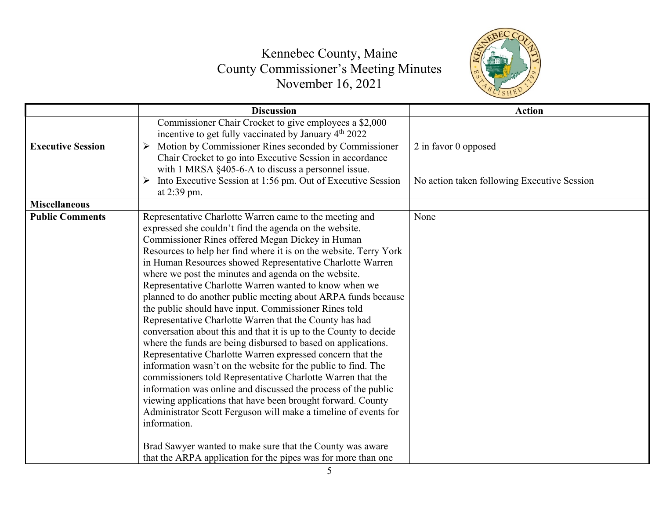

|                          | <b>Discussion</b>                                                                                                                                                                                                                                                                                                                                                                                                                                                                                                                                                                                                                                                                                                                                                                                                                                                                                                                                                                                                                                                                                                                                                                                                                   | <b>Action</b>                               |
|--------------------------|-------------------------------------------------------------------------------------------------------------------------------------------------------------------------------------------------------------------------------------------------------------------------------------------------------------------------------------------------------------------------------------------------------------------------------------------------------------------------------------------------------------------------------------------------------------------------------------------------------------------------------------------------------------------------------------------------------------------------------------------------------------------------------------------------------------------------------------------------------------------------------------------------------------------------------------------------------------------------------------------------------------------------------------------------------------------------------------------------------------------------------------------------------------------------------------------------------------------------------------|---------------------------------------------|
|                          | Commissioner Chair Crocket to give employees a \$2,000<br>incentive to get fully vaccinated by January 4th 2022                                                                                                                                                                                                                                                                                                                                                                                                                                                                                                                                                                                                                                                                                                                                                                                                                                                                                                                                                                                                                                                                                                                     |                                             |
| <b>Executive Session</b> | Motion by Commissioner Rines seconded by Commissioner<br>➤<br>Chair Crocket to go into Executive Session in accordance<br>with 1 MRSA §405-6-A to discuss a personnel issue.                                                                                                                                                                                                                                                                                                                                                                                                                                                                                                                                                                                                                                                                                                                                                                                                                                                                                                                                                                                                                                                        | 2 in favor 0 opposed                        |
|                          | Into Executive Session at 1:56 pm. Out of Executive Session<br>at $2:39$ pm.                                                                                                                                                                                                                                                                                                                                                                                                                                                                                                                                                                                                                                                                                                                                                                                                                                                                                                                                                                                                                                                                                                                                                        | No action taken following Executive Session |
| <b>Miscellaneous</b>     |                                                                                                                                                                                                                                                                                                                                                                                                                                                                                                                                                                                                                                                                                                                                                                                                                                                                                                                                                                                                                                                                                                                                                                                                                                     |                                             |
| <b>Public Comments</b>   | Representative Charlotte Warren came to the meeting and<br>expressed she couldn't find the agenda on the website.<br>Commissioner Rines offered Megan Dickey in Human<br>Resources to help her find where it is on the website. Terry York<br>in Human Resources showed Representative Charlotte Warren<br>where we post the minutes and agenda on the website.<br>Representative Charlotte Warren wanted to know when we<br>planned to do another public meeting about ARPA funds because<br>the public should have input. Commissioner Rines told<br>Representative Charlotte Warren that the County has had<br>conversation about this and that it is up to the County to decide<br>where the funds are being disbursed to based on applications.<br>Representative Charlotte Warren expressed concern that the<br>information wasn't on the website for the public to find. The<br>commissioners told Representative Charlotte Warren that the<br>information was online and discussed the process of the public<br>viewing applications that have been brought forward. County<br>Administrator Scott Ferguson will make a timeline of events for<br>information.<br>Brad Sawyer wanted to make sure that the County was aware | None                                        |
|                          | that the ARPA application for the pipes was for more than one                                                                                                                                                                                                                                                                                                                                                                                                                                                                                                                                                                                                                                                                                                                                                                                                                                                                                                                                                                                                                                                                                                                                                                       |                                             |